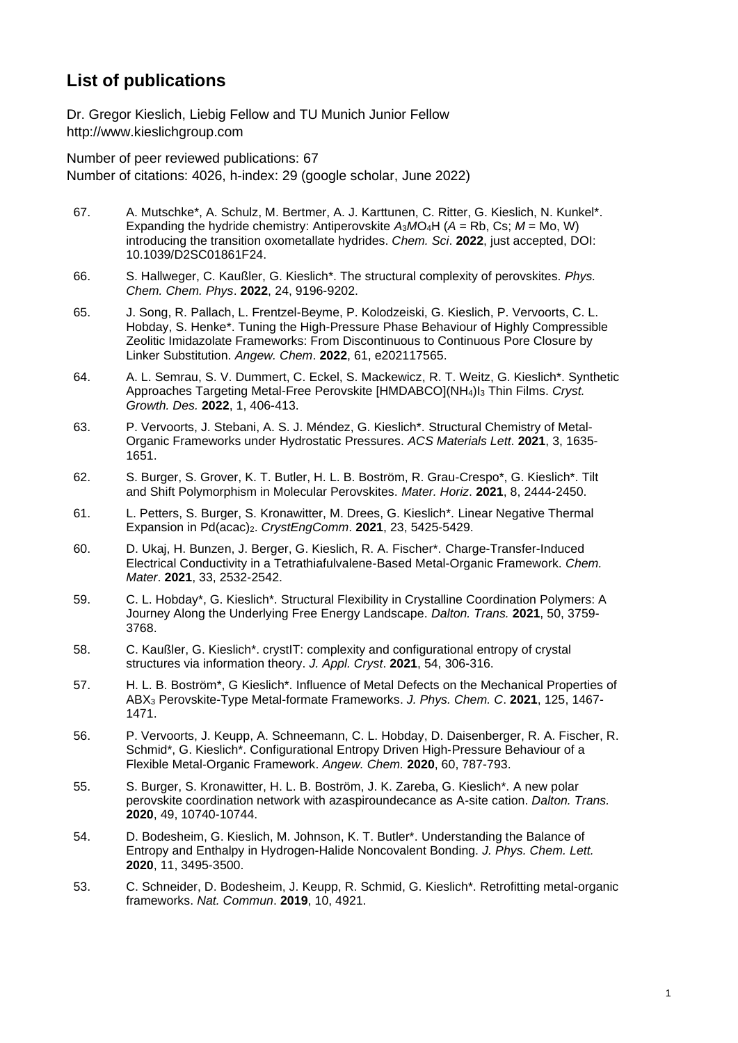## **List of publications**

Dr. Gregor Kieslich, Liebig Fellow and TU Munich Junior Fellow http://www.kieslichgroup.com

Number of peer reviewed publications: 67 Number of citations: 4026, h-index: 29 (google scholar, June 2022)

- 67. A. Mutschke\*, A. Schulz, M. Bertmer, A. J. Karttunen, C. Ritter, G. Kieslich, N. Kunkel\*. Expanding the hydride chemistry: Antiperovskite *A*3*M*O4H (*A* = Rb, Cs; *M* = Mo, W) introducing the transition oxometallate hydrides. *Chem. Sci*. **2022**, just accepted, DOI: 10.1039/D2SC01861F24.
- 66. S. Hallweger, C. Kaußler, G. Kieslich\*. The structural complexity of perovskites. *Phys. Chem. Chem. Phys*. **2022**, 24, 9196-9202.
- 65. J. Song, R. Pallach, L. Frentzel-Beyme, P. Kolodzeiski, G. Kieslich, P. Vervoorts, C. L. Hobday, S. Henke\*. Tuning the High-Pressure Phase Behaviour of Highly Compressible Zeolitic Imidazolate Frameworks: From Discontinuous to Continuous Pore Closure by Linker Substitution. *Angew. Chem*. **2022**, 61, e202117565.
- 64. A. L. Semrau, S. V. Dummert, C. Eckel, S. Mackewicz, R. T. Weitz, G. Kieslich\*. Synthetic Approaches Targeting Metal-Free Perovskite [HMDABCO](NH4)I<sup>3</sup> Thin Films. *Cryst. Growth. Des.* **2022**, 1, 406-413.
- 63. P. Vervoorts, J. Stebani, A. S. J. Méndez, G. Kieslich\*. Structural Chemistry of Metal-Organic Frameworks under Hydrostatic Pressures. *ACS Materials Lett*. **2021**, 3, 1635- 1651.
- 62. S. Burger, S. Grover, K. T. Butler, H. L. B. Boström, R. Grau-Crespo\*, G. Kieslich\*. Tilt and Shift Polymorphism in Molecular Perovskites. *Mater. Horiz*. **2021**, 8, 2444-2450.
- 61. L. Petters, S. Burger, S. Kronawitter, M. Drees, G. Kieslich\*. Linear Negative Thermal Expansion in Pd(acac)2. *CrystEngComm*. **2021**, 23, 5425-5429.
- 60. D. Ukaj, H. Bunzen, J. Berger, G. Kieslich, R. A. Fischer\*. Charge-Transfer-Induced Electrical Conductivity in a Tetrathiafulvalene-Based Metal-Organic Framework. *Chem. Mater*. **2021**, 33, 2532-2542.
- 59. C. L. Hobday\*, G. Kieslich\*. Structural Flexibility in Crystalline Coordination Polymers: A Journey Along the Underlying Free Energy Landscape. *Dalton. Trans.* **2021**, 50, 3759- 3768.
- 58. C. Kaußler, G. Kieslich\*. crystIT: complexity and configurational entropy of crystal structures via information theory. *J. Appl. Cryst*. **2021**, 54, 306-316.
- 57. H. L. B. Boström\*, G Kieslich\*. Influence of Metal Defects on the Mechanical Properties of ABX<sup>3</sup> Perovskite-Type Metal-formate Frameworks. *J. Phys. Chem. C*. **2021**, 125, 1467- 1471.
- 56. P. Vervoorts, J. Keupp, A. Schneemann, C. L. Hobday, D. Daisenberger, R. A. Fischer, R. Schmid\*, G. Kieslich\*. Configurational Entropy Driven High‐Pressure Behaviour of a Flexible Metal‐Organic Framework. *Angew. Chem.* **2020**, 60, 787-793.
- 55. S. Burger, S. Kronawitter, H. L. B. Boström, J. K. Zareba, G. Kieslich\*. A new polar perovskite coordination network with azaspiroundecance as A-site cation. *Dalton. Trans.*  **2020**, 49, 10740-10744.
- 54. D. Bodesheim, G. Kieslich, M. Johnson, K. T. Butler\*. Understanding the Balance of Entropy and Enthalpy in Hydrogen-Halide Noncovalent Bonding. *J. Phys. Chem. Lett.*  **2020**, 11, 3495-3500.
- 53. C. Schneider, D. Bodesheim, J. Keupp, R. Schmid, G. Kieslich\*. Retrofitting metal-organic frameworks. *Nat. Commun*. **2019**, 10, 4921.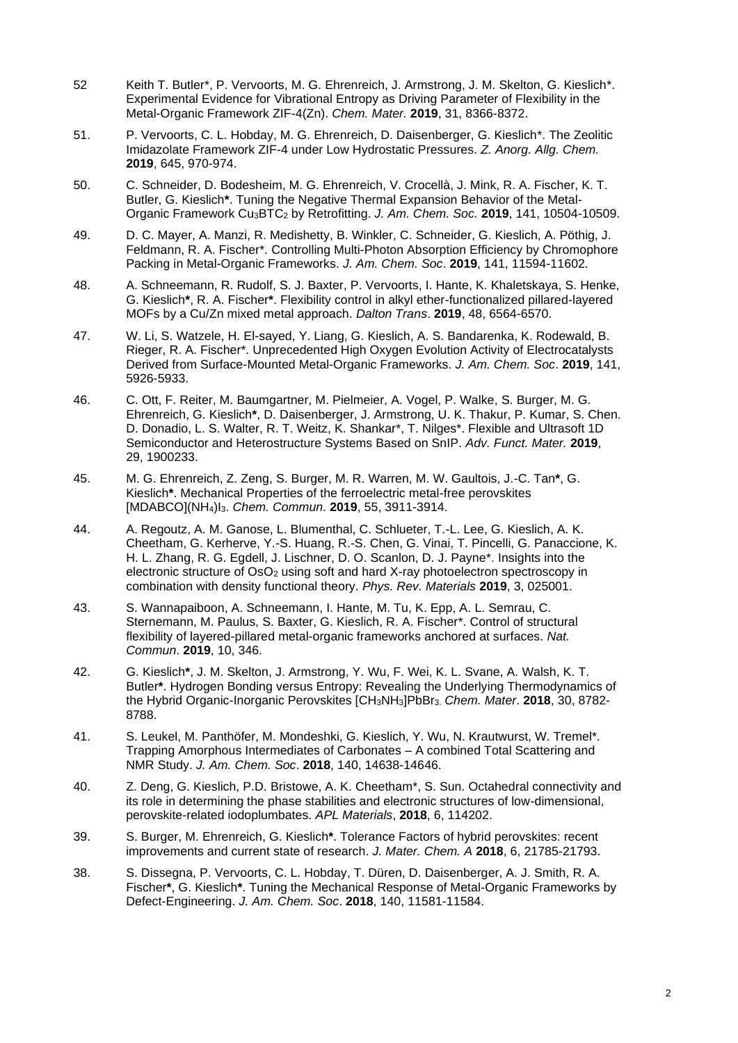- 52 Keith T. Butler\*, P. Vervoorts, M. G. Ehrenreich, J. Armstrong, J. M. Skelton, G. Kieslich\*. Experimental Evidence for Vibrational Entropy as Driving Parameter of Flexibility in the Metal-Organic Framework ZIF-4(Zn). *Chem. Mater.* **2019**, 31, 8366-8372.
- 51. P. Vervoorts, C. L. Hobday, M. G. Ehrenreich, D. Daisenberger, G. Kieslich\*. The Zeolitic Imidazolate Framework ZIF-4 under Low Hydrostatic Pressures. *Z. Anorg. Allg. Chem.* **2019**, 645, 970-974.
- 50. C. Schneider, D. Bodesheim, M. G. Ehrenreich, V. Crocellà, J. Mink, R. A. Fischer, K. T. Butler, G. Kieslich**\***. Tuning the Negative Thermal Expansion Behavior of the Metal-Organic Framework Cu3BTC<sup>2</sup> by Retrofitting. *J. Am. Chem. Soc.* **2019**, 141, 10504-10509.
- 49. D. C. Mayer, A. Manzi, R. Medishetty, B. Winkler, C. Schneider, G. Kieslich, A. Pöthig, J. Feldmann, R. A. Fischer\*. Controlling Multi-Photon Absorption Efficiency by Chromophore Packing in Metal-Organic Frameworks. *J. Am. Chem. Soc*. **2019**, 141, 11594-11602.
- 48. A. Schneemann, R. Rudolf, S. J. Baxter, P. Vervoorts, I. Hante, K. Khaletskaya, S. Henke, G. Kieslich**\***, R. A. Fischer**\***. Flexibility control in alkyl ether-functionalized pillared-layered MOFs by a Cu/Zn mixed metal approach. *Dalton Trans*. **2019**, 48, 6564-6570.
- 47. W. Li, S. Watzele, H. El-sayed, Y. Liang, G. Kieslich, A. S. Bandarenka, K. Rodewald, B. Rieger, R. A. Fischer\*. Unprecedented High Oxygen Evolution Activity of Electrocatalysts Derived from Surface-Mounted Metal-Organic Frameworks. *J. Am. Chem. Soc*. **2019**, 141, 5926-5933.
- 46. C. Ott, F. Reiter, M. Baumgartner, M. Pielmeier, A. Vogel, P. Walke, S. Burger, M. G. Ehrenreich, G. Kieslich**\***, D. Daisenberger, J. Armstrong, U. K. Thakur, P. Kumar, S. Chen. D. Donadio, L. S. Walter, R. T. Weitz, K. Shankar\*, T. Nilges\*. Flexible and Ultrasoft 1D Semiconductor and Heterostructure Systems Based on SnIP. *Adv. Funct. Mater.* **2019**, 29, 1900233.
- 45. M. G. Ehrenreich, Z. Zeng, S. Burger, M. R. Warren, M. W. Gaultois, J.-C. Tan**\***, G. Kieslich**\***. Mechanical Properties of the ferroelectric metal-free perovskites [MDABCO](NH4)I3. *Chem. Commun*. **2019**, 55, 3911-3914.
- 44. A. Regoutz, A. M. Ganose, L. Blumenthal, C. Schlueter, T.-L. Lee, G. Kieslich, A. K. Cheetham, G. Kerherve, Y.-S. Huang, R.-S. Chen, G. Vinai, T. Pincelli, G. Panaccione, K. H. L. Zhang, R. G. Egdell, J. Lischner, D. O. Scanlon, D. J. Payne\*. Insights into the electronic structure of OsO<sub>2</sub> using soft and hard X-ray photoelectron spectroscopy in combination with density functional theory. *Phys. Rev. Materials* **2019**, 3, 025001.
- 43. S. Wannapaiboon, A. Schneemann, I. Hante, M. Tu, K. Epp, A. L. Semrau, C. Sternemann, M. Paulus, S. Baxter, G. Kieslich, R. A. Fischer\*. Control of structural flexibility of layered-pillared metal-organic frameworks anchored at surfaces. *Nat. Commun*. **2019**, 10, 346.
- 42. G. Kieslich**\***, J. M. Skelton, J. Armstrong, Y. Wu, F. Wei, K. L. Svane, A. Walsh, K. T. Butler**\***. Hydrogen Bonding versus Entropy: Revealing the Underlying Thermodynamics of the Hybrid Organic-Inorganic Perovskites [CH3NH3]PbBr3. *Chem. Mater*. **2018**, 30, 8782- 8788.
- 41. S. Leukel, M. Panthöfer, M. Mondeshki, G. Kieslich, Y. Wu, N. Krautwurst, W. Tremel\*. Trapping Amorphous Intermediates of Carbonates – A combined Total Scattering and NMR Study. *J. Am. Chem. Soc*. **2018**, 140, 14638-14646.
- 40. Z. Deng, G. Kieslich, P.D. Bristowe, A. K. Cheetham\*, S. Sun. Octahedral connectivity and its role in determining the phase stabilities and electronic structures of low-dimensional, perovskite-related iodoplumbates. *APL Materials*, **2018**, 6, 114202.
- 39. S. Burger, M. Ehrenreich, G. Kieslich**\***. Tolerance Factors of hybrid perovskites: recent improvements and current state of research. *J. Mater. Chem. A* **2018**, 6, 21785-21793.
- 38. S. Dissegna, P. Vervoorts, C. L. Hobday, T. Düren, D. Daisenberger, A. J. Smith, R. A. Fischer**\***, G. Kieslich**\***. Tuning the Mechanical Response of Metal-Organic Frameworks by Defect-Engineering. *J. Am. Chem. Soc*. **2018**, 140, 11581-11584.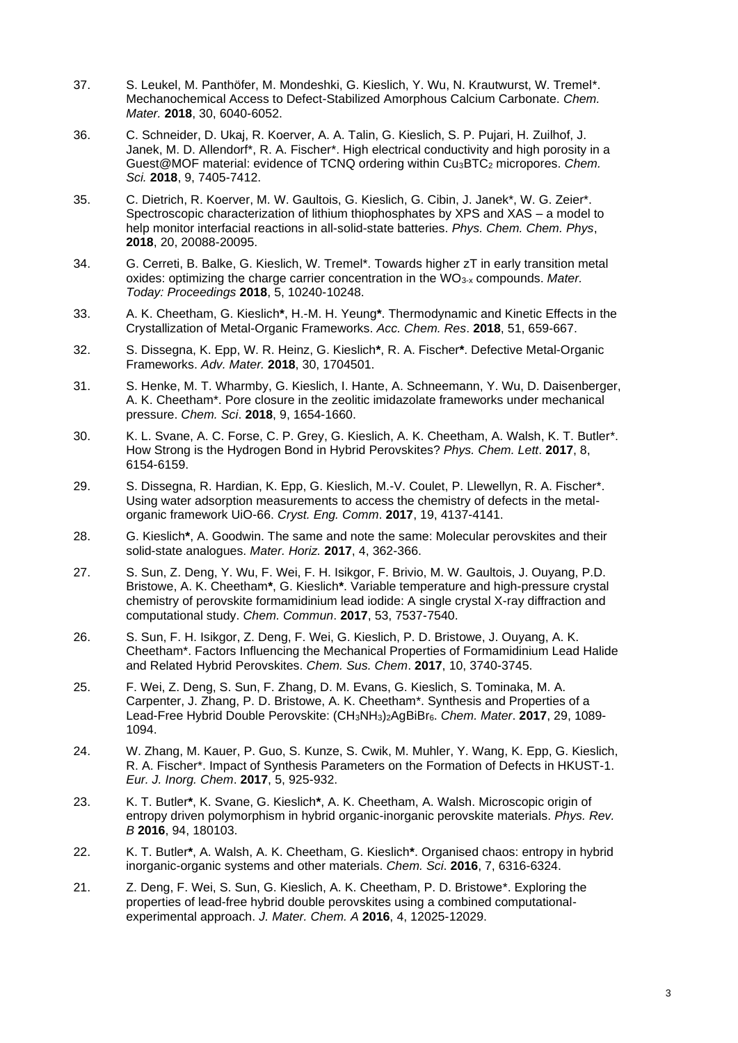- 37. S. Leukel, M. Panthöfer, M. Mondeshki, G. Kieslich, Y. Wu, N. Krautwurst, W. Tremel\*. Mechanochemical Access to Defect-Stabilized Amorphous Calcium Carbonate. *Chem. Mater.* **2018**, 30, 6040-6052.
- 36. C. Schneider, D. Ukaj, R. Koerver, A. A. Talin, G. Kieslich, S. P. Pujari, H. Zuilhof, J. Janek, M. D. Allendorf\*, R. A. Fischer\*. High electrical conductivity and high porosity in a Guest@MOF material: evidence of TCNQ ordering within Cu<sub>3</sub>BTC<sub>2</sub> micropores. *Chem. Sci.* **2018**, 9, 7405-7412.
- 35. C. Dietrich, R. Koerver, M. W. Gaultois, G. Kieslich, G. Cibin, J. Janek\*, W. G. Zeier\*. Spectroscopic characterization of lithium thiophosphates by XPS and XAS – a model to help monitor interfacial reactions in all-solid-state batteries. *Phys. Chem. Chem. Phys*, **2018**, 20, 20088-20095.
- 34. G. Cerreti, B. Balke, G. Kieslich, W. Tremel\*. Towards higher zT in early transition metal oxides: optimizing the charge carrier concentration in the WO<sub>3-x</sub> compounds. Mater. *Today: Proceedings* **2018**, 5, 10240-10248.
- 33. A. K. Cheetham, G. Kieslich**\***, H.-M. H. Yeung**\***. Thermodynamic and Kinetic Effects in the Crystallization of Metal-Organic Frameworks. *Acc. Chem. Res*. **2018**, 51, 659-667.
- 32. S. Dissegna, K. Epp, W. R. Heinz, G. Kieslich**\***, R. A. Fischer**\***. Defective Metal-Organic Frameworks. *Adv. Mater.* **2018**, 30, 1704501.
- 31. S. Henke, M. T. Wharmby, G. Kieslich, I. Hante, A. Schneemann, Y. Wu, D. Daisenberger, A. K. Cheetham\*. Pore closure in the zeolitic imidazolate frameworks under mechanical pressure. *Chem. Sci*. **2018**, 9, 1654-1660.
- 30. K. L. Svane, A. C. Forse, C. P. Grey, G. Kieslich, A. K. Cheetham, A. Walsh, K. T. Butler\*. How Strong is the Hydrogen Bond in Hybrid Perovskites? *Phys. Chem. Lett*. **2017**, 8, 6154-6159.
- 29. S. Dissegna, R. Hardian, K. Epp, G. Kieslich, M.-V. Coulet, P. Llewellyn, R. A. Fischer\*. Using water adsorption measurements to access the chemistry of defects in the metalorganic framework UiO-66. *Cryst. Eng. Comm*. **2017**, 19, 4137-4141.
- 28. G. Kieslich**\***, A. Goodwin. The same and note the same: Molecular perovskites and their solid-state analogues. *Mater. Horiz.* **2017**, 4, 362-366.
- 27. S. Sun, Z. Deng, Y. Wu, F. Wei, F. H. Isikgor, F. Brivio, M. W. Gaultois, J. Ouyang, P.D. Bristowe, A. K. Cheetham**\***, G. Kieslich**\***. Variable temperature and high-pressure crystal chemistry of perovskite formamidinium lead iodide: A single crystal X-ray diffraction and computational study. *Chem. Commun*. **2017**, 53, 7537-7540.
- 26. S. Sun, F. H. Isikgor, Z. Deng, F. Wei, G. Kieslich, P. D. Bristowe, J. Ouyang, A. K. Cheetham\*. Factors Influencing the Mechanical Properties of Formamidinium Lead Halide and Related Hybrid Perovskites. *Chem. Sus. Chem*. **2017**, 10, 3740-3745.
- 25. F. Wei, Z. Deng, S. Sun, F. Zhang, D. M. Evans, G. Kieslich, S. Tominaka, M. A. Carpenter, J. Zhang, P. D. Bristowe, A. K. Cheetham\*. Synthesis and Properties of a Lead-Free Hybrid Double Perovskite: (CH3NH3)2AgBiBr6. *Chem. Mater*. **2017**, 29, 1089- 1094.
- 24. W. Zhang, M. Kauer, P. Guo, S. Kunze, S. Cwik, M. Muhler, Y. Wang, K. Epp, G. Kieslich, R. A. Fischer\*. Impact of Synthesis Parameters on the Formation of Defects in HKUST-1. *Eur. J. Inorg. Chem*. **2017**, 5, 925-932.
- 23. K. T. Butler**\***, K. Svane, G. Kieslich**\***, A. K. Cheetham, A. Walsh. Microscopic origin of entropy driven polymorphism in hybrid organic-inorganic perovskite materials. *Phys. Rev. B* **2016**, 94, 180103.
- 22. K. T. Butler**\***, A. Walsh, A. K. Cheetham, G. Kieslich**\***. Organised chaos: entropy in hybrid inorganic-organic systems and other materials. *Chem. Sci*. **2016**, 7, 6316-6324.
- 21. Z. Deng, F. Wei, S. Sun, G. Kieslich, A. K. Cheetham, P. D. Bristowe\*. Exploring the properties of lead-free hybrid double perovskites using a combined computationalexperimental approach. *J. Mater. Chem. A* **2016**, 4, 12025-12029.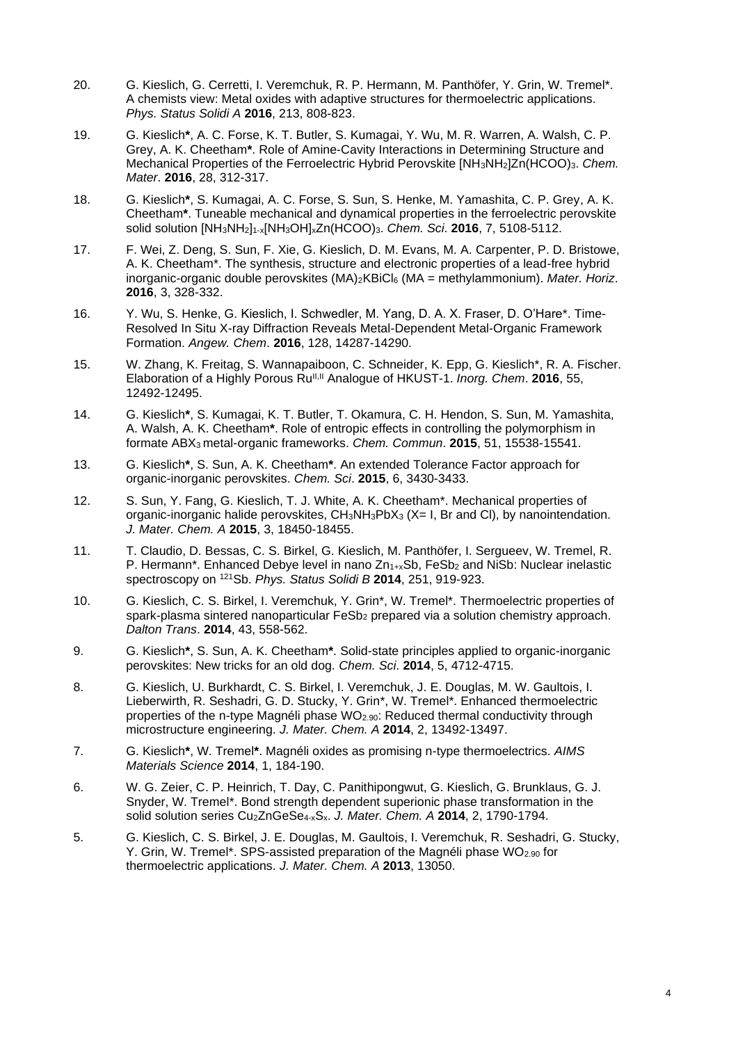- 20. G. Kieslich, G. Cerretti, I. Veremchuk, R. P. Hermann, M. Panthöfer, Y. Grin, W. Tremel\*. A chemists view: Metal oxides with adaptive structures for thermoelectric applications. *Phys. Status Solidi A* **2016**, 213, 808-823.
- 19. G. Kieslich**\***, A. C. Forse, K. T. Butler, S. Kumagai, Y. Wu, M. R. Warren, A. Walsh, C. P. Grey, A. K. Cheetham**\***. Role of Amine-Cavity Interactions in Determining Structure and Mechanical Properties of the Ferroelectric Hybrid Perovskite [NH<sub>3</sub>NH<sub>2</sub>]Zn(HCOO)<sub>3</sub>. *Chem. Mater*. **2016**, 28, 312-317.
- 18. G. Kieslich**\***, S. Kumagai, A. C. Forse, S. Sun, S. Henke, M. Yamashita, C. P. Grey, A. K. Cheetham**\***. Tuneable mechanical and dynamical properties in the ferroelectric perovskite solid solution [NH3NH2]1-x[NH3OH]xZn(HCOO)3. *Chem. Sci*. **2016**, 7, 5108-5112.
- 17. F. Wei, Z. Deng, S. Sun, F. Xie, G. Kieslich, D. M. Evans, M. A. Carpenter, P. D. Bristowe, A. K. Cheetham\*. The synthesis, structure and electronic properties of a lead-free hybrid inorganic-organic double perovskites (MA)2KBiCl<sup>6</sup> (MA = methylammonium). *Mater. Horiz*. **2016**, 3, 328-332.
- 16. Y. Wu, S. Henke, G. Kieslich, I. Schwedler, M. Yang, D. A. X. Fraser, D. O'Hare\*. Time-Resolved In Situ X-ray Diffraction Reveals Metal-Dependent Metal-Organic Framework Formation. *Angew. Chem*. **2016**, 128, 14287-14290.
- 15. W. Zhang, K. Freitag, S. Wannapaiboon, C. Schneider, K. Epp, G. Kieslich\*, R. A. Fischer. Elaboration of a Highly Porous Ru<sup>II, II</sup> Analogue of HKUST-1. *Inorg. Chem.* 2016, 55, 12492-12495.
- 14. G. Kieslich**\***, S. Kumagai, K. T. Butler, T. Okamura, C. H. Hendon, S. Sun, M. Yamashita, A. Walsh, A. K. Cheetham**\***. Role of entropic effects in controlling the polymorphism in formate ABX3 metal-organic frameworks. *Chem. Commun*. **2015**, 51, 15538-15541.
- 13. G. Kieslich**\***, S. Sun, A. K. Cheetham**\***. An extended Tolerance Factor approach for organic-inorganic perovskites. *Chem. Sci*. **2015**, 6, 3430-3433.
- 12. S. Sun, Y. Fang, G. Kieslich, T. J. White, A. K. Cheetham\*. Mechanical properties of organic-inorganic halide perovskites,  $CH_3NH_3PbX_3$  (X= I, Br and CI), by nanointendation. *J. Mater. Chem. A* **2015**, 3, 18450-18455.
- 11. T. Claudio, D. Bessas, C. S. Birkel, G. Kieslich, M. Panthöfer, I. Sergueev, W. Tremel, R. P. Hermann\*. Enhanced Debye level in nano  $Zn_{1+x}Sb$ , FeSb<sub>2</sub> and NiSb: Nuclear inelastic spectroscopy on <sup>121</sup>Sb. *Phys. Status Solidi B* **2014**, 251, 919-923.
- 10. G. Kieslich, C. S. Birkel, I. Veremchuk, Y. Grin\*, W. Tremel\*. Thermoelectric properties of spark-plasma sintered nanoparticular FeSb<sub>2</sub> prepared via a solution chemistry approach. *Dalton Trans*. **2014**, 43, 558-562.
- 9. G. Kieslich**\***, S. Sun, A. K. Cheetham**\***. Solid-state principles applied to organic-inorganic perovskites: New tricks for an old dog. *Chem. Sci*. **2014**, 5, 4712-4715.
- 8. G. Kieslich, U. Burkhardt, C. S. Birkel, I. Veremchuk, J. E. Douglas, M. W. Gaultois, I. Lieberwirth, R. Seshadri, G. D. Stucky, Y. Grin\*, W. Tremel\*. Enhanced thermoelectric properties of the n-type Magnéli phase  $WO_{2.90}$ : Reduced thermal conductivity through microstructure engineering. *J. Mater. Chem. A* **2014**, 2, 13492-13497.
- 7. G. Kieslich**\***, W. Tremel**\***. Magnéli oxides as promising n-type thermoelectrics. *AIMS Materials Science* **2014**, 1, 184-190.
- 6. W. G. Zeier, C. P. Heinrich, T. Day, C. Panithipongwut, G. Kieslich, G. Brunklaus, G. J. Snyder, W. Tremel\*. Bond strength dependent superionic phase transformation in the solid solution series Cu2ZnGeSe4-xSx. *J. Mater. Chem. A* **2014**, 2, 1790-1794.
- 5. G. Kieslich, C. S. Birkel, J. E. Douglas, M. Gaultois, I. Veremchuk, R. Seshadri, G. Stucky, Y. Grin, W. Tremel\*, SPS-assisted preparation of the Magnéli phase WO<sub>2.90</sub> for thermoelectric applications. *J. Mater. Chem. A* **2013**, 13050.